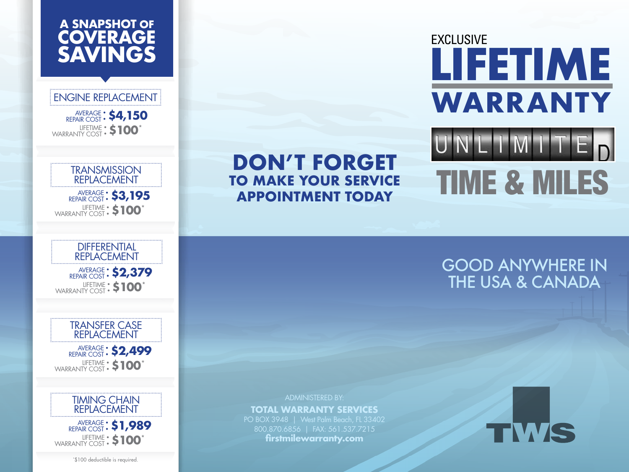# **A SNAPSHOT OF COVERAGE SAVINGS**

# ENGINE REPLACEMENT

AVERAGE : \$4,150 LIFETIME WARRANTY COST:**\$100\***

# **TRANSMISSION** REPLACEMENT

AVERAGE : \$3,195 LIFETIME WARRANTY COST:**\$100\***

#### DIFFERENTIAL REPLACEMENT

AVERAGE : \$2,379 LIFETIME WARRANTY COST:**\$100\***

#### TRANSFER CASE REPLACEMENT

AVERAGE : \$2,499 LIFETIME WARRANTY COST:**\$100\***



AVERAGE REPAIR COST:**\$1,989** LIFETIME WARRANTY COST:**\$100\***

\* \$100 deductible is required.

# **DON'T FORGET TO MAKE YOUR SERVICE APPOINTMENT TODAY**

# EXCLUSIVE **LIFETIME WARRANTY**

# IMIT TIME & MILES

# GOOD ANYWHERE IN THE USA & CANADA

ADMINISTERED BY: **TOTAL WARRANTY SERVICES** PO BOX 3948 | West Palm Beach, FL 33402 800.870.6856 | FAX: 561.537.7215 **firstmilewarranty.com**